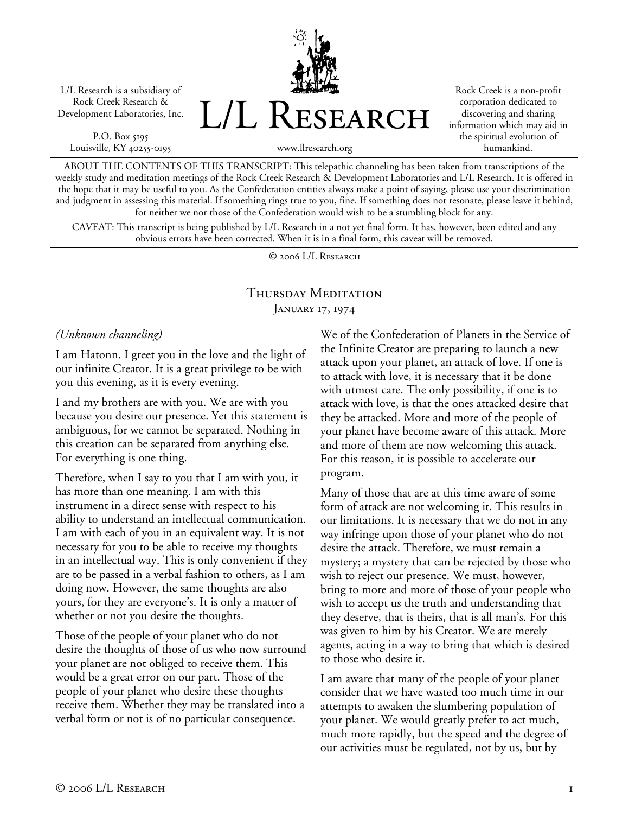L/L Research is a subsidiary of Rock Creek Research & Development Laboratories, Inc.

P.O. Box 5195 Louisville, KY 40255-0195 L/L Research

Rock Creek is a non-profit corporation dedicated to discovering and sharing information which may aid in the spiritual evolution of humankind.

www.llresearch.org

ABOUT THE CONTENTS OF THIS TRANSCRIPT: This telepathic channeling has been taken from transcriptions of the weekly study and meditation meetings of the Rock Creek Research & Development Laboratories and L/L Research. It is offered in the hope that it may be useful to you. As the Confederation entities always make a point of saying, please use your discrimination and judgment in assessing this material. If something rings true to you, fine. If something does not resonate, please leave it behind, for neither we nor those of the Confederation would wish to be a stumbling block for any.

CAVEAT: This transcript is being published by L/L Research in a not yet final form. It has, however, been edited and any obvious errors have been corrected. When it is in a final form, this caveat will be removed.

© 2006 L/L Research

## Thursday Meditation JANUARY 17, 1974

*(Unknown channeling)* 

I am Hatonn. I greet you in the love and the light of our infinite Creator. It is a great privilege to be with you this evening, as it is every evening.

I and my brothers are with you. We are with you because you desire our presence. Yet this statement is ambiguous, for we cannot be separated. Nothing in this creation can be separated from anything else. For everything is one thing.

Therefore, when I say to you that I am with you, it has more than one meaning. I am with this instrument in a direct sense with respect to his ability to understand an intellectual communication. I am with each of you in an equivalent way. It is not necessary for you to be able to receive my thoughts in an intellectual way. This is only convenient if they are to be passed in a verbal fashion to others, as I am doing now. However, the same thoughts are also yours, for they are everyone's. It is only a matter of whether or not you desire the thoughts.

Those of the people of your planet who do not desire the thoughts of those of us who now surround your planet are not obliged to receive them. This would be a great error on our part. Those of the people of your planet who desire these thoughts receive them. Whether they may be translated into a verbal form or not is of no particular consequence.

We of the Confederation of Planets in the Service of the Infinite Creator are preparing to launch a new attack upon your planet, an attack of love. If one is to attack with love, it is necessary that it be done with utmost care. The only possibility, if one is to attack with love, is that the ones attacked desire that they be attacked. More and more of the people of your planet have become aware of this attack. More and more of them are now welcoming this attack. For this reason, it is possible to accelerate our program.

Many of those that are at this time aware of some form of attack are not welcoming it. This results in our limitations. It is necessary that we do not in any way infringe upon those of your planet who do not desire the attack. Therefore, we must remain a mystery; a mystery that can be rejected by those who wish to reject our presence. We must, however, bring to more and more of those of your people who wish to accept us the truth and understanding that they deserve, that is theirs, that is all man's. For this was given to him by his Creator. We are merely agents, acting in a way to bring that which is desired to those who desire it.

I am aware that many of the people of your planet consider that we have wasted too much time in our attempts to awaken the slumbering population of your planet. We would greatly prefer to act much, much more rapidly, but the speed and the degree of our activities must be regulated, not by us, but by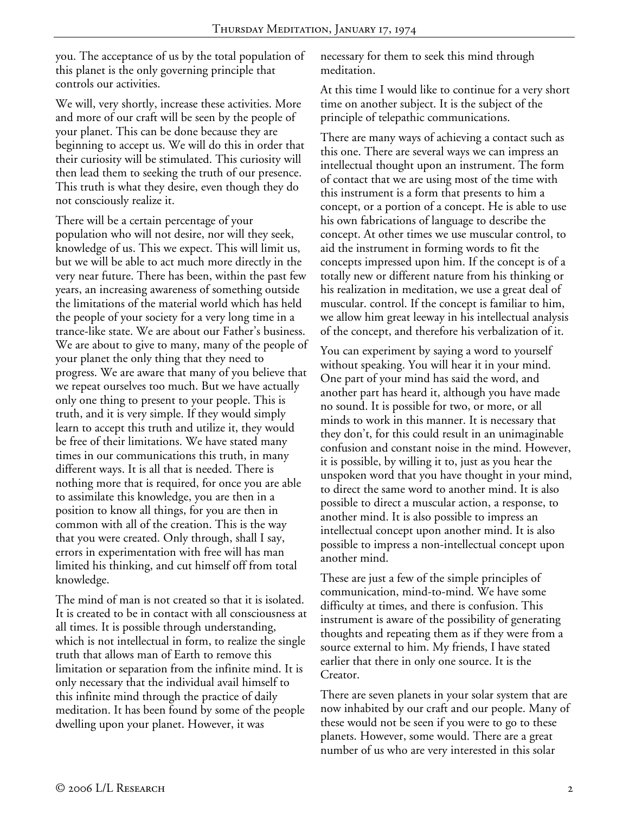you. The acceptance of us by the total population of this planet is the only governing principle that controls our activities.

We will, very shortly, increase these activities. More and more of our craft will be seen by the people of your planet. This can be done because they are beginning to accept us. We will do this in order that their curiosity will be stimulated. This curiosity will then lead them to seeking the truth of our presence. This truth is what they desire, even though they do not consciously realize it.

There will be a certain percentage of your population who will not desire, nor will they seek, knowledge of us. This we expect. This will limit us, but we will be able to act much more directly in the very near future. There has been, within the past few years, an increasing awareness of something outside the limitations of the material world which has held the people of your society for a very long time in a trance-like state. We are about our Father's business. We are about to give to many, many of the people of your planet the only thing that they need to progress. We are aware that many of you believe that we repeat ourselves too much. But we have actually only one thing to present to your people. This is truth, and it is very simple. If they would simply learn to accept this truth and utilize it, they would be free of their limitations. We have stated many times in our communications this truth, in many different ways. It is all that is needed. There is nothing more that is required, for once you are able to assimilate this knowledge, you are then in a position to know all things, for you are then in common with all of the creation. This is the way that you were created. Only through, shall I say, errors in experimentation with free will has man limited his thinking, and cut himself off from total knowledge.

The mind of man is not created so that it is isolated. It is created to be in contact with all consciousness at all times. It is possible through understanding, which is not intellectual in form, to realize the single truth that allows man of Earth to remove this limitation or separation from the infinite mind. It is only necessary that the individual avail himself to this infinite mind through the practice of daily meditation. It has been found by some of the people dwelling upon your planet. However, it was

necessary for them to seek this mind through meditation.

At this time I would like to continue for a very short time on another subject. It is the subject of the principle of telepathic communications.

There are many ways of achieving a contact such as this one. There are several ways we can impress an intellectual thought upon an instrument. The form of contact that we are using most of the time with this instrument is a form that presents to him a concept, or a portion of a concept. He is able to use his own fabrications of language to describe the concept. At other times we use muscular control, to aid the instrument in forming words to fit the concepts impressed upon him. If the concept is of a totally new or different nature from his thinking or his realization in meditation, we use a great deal of muscular. control. If the concept is familiar to him, we allow him great leeway in his intellectual analysis of the concept, and therefore his verbalization of it.

You can experiment by saying a word to yourself without speaking. You will hear it in your mind. One part of your mind has said the word, and another part has heard it, although you have made no sound. It is possible for two, or more, or all minds to work in this manner. It is necessary that they don't, for this could result in an unimaginable confusion and constant noise in the mind. However, it is possible, by willing it to, just as you hear the unspoken word that you have thought in your mind, to direct the same word to another mind. It is also possible to direct a muscular action, a response, to another mind. It is also possible to impress an intellectual concept upon another mind. It is also possible to impress a non-intellectual concept upon another mind.

These are just a few of the simple principles of communication, mind-to-mind. We have some difficulty at times, and there is confusion. This instrument is aware of the possibility of generating thoughts and repeating them as if they were from a source external to him. My friends, I have stated earlier that there in only one source. It is the Creator.

There are seven planets in your solar system that are now inhabited by our craft and our people. Many of these would not be seen if you were to go to these planets. However, some would. There are a great number of us who are very interested in this solar